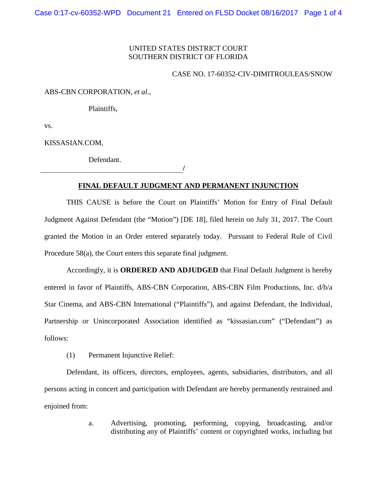## UNITED STATES DISTRICT COURT SOUTHERN DISTRICT OF FLORIDA

## CASE NO. 17-60352-CIV-DIMITROULEAS/SNOW

ABS-CBN CORPORATION, *et al.*,

Plaintiffs,

vs.

KISSASIAN.COM,

Defendant.

**/**

## **FINAL DEFAULT JUDGMENT AND PERMANENT INJUNCTION**

THIS CAUSE is before the Court on Plaintiffs' Motion for Entry of Final Default Judgment Against Defendant (the "Motion") [DE 18], filed herein on July 31, 2017. The Court granted the Motion in an Order entered separately today. Pursuant to Federal Rule of Civil Procedure 58(a), the Court enters this separate final judgment.

Accordingly, it is **ORDERED AND ADJUDGED** that Final Default Judgment is hereby entered in favor of Plaintiffs, ABS-CBN Corporation, ABS-CBN Film Productions, Inc. d/b/a Star Cinema, and ABS-CBN International ("Plaintiffs"), and against Defendant, the Individual, Partnership or Unincorporated Association identified as "kissasian.com" ("Defendant") as follows:

(1) Permanent Injunctive Relief:

Defendant, its officers, directors, employees, agents, subsidiaries, distributors, and all persons acting in concert and participation with Defendant are hereby permanently restrained and enjoined from:

> a. Advertising, promoting, performing, copying, broadcasting, and/or distributing any of Plaintiffs' content or copyrighted works, including but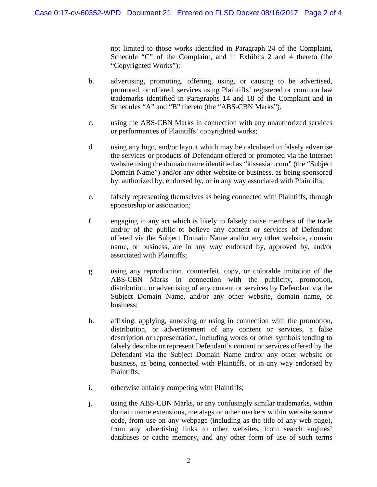not limited to those works identified in Paragraph 24 of the Complaint, Schedule "C" of the Complaint, and in Exhibits 2 and 4 thereto (the "Copyrighted Works");

- b. advertising, promoting, offering, using, or causing to be advertised, promoted, or offered, services using Plaintiffs' registered or common law trademarks identified in Paragraphs 14 and 18 of the Complaint and in Schedules "A" and "B" thereto (the "ABS-CBN Marks").
- c. using the ABS-CBN Marks in connection with any unauthorized services or performances of Plaintiffs' copyrighted works;
- d. using any logo, and/or layout which may be calculated to falsely advertise the services or products of Defendant offered or promoted via the Internet website using the domain name identified as "kissasian.com" (the "Subject Domain Name") and/or any other website or business, as being sponsored by, authorized by, endorsed by, or in any way associated with Plaintiffs;
- e. falsely representing themselves as being connected with Plaintiffs, through sponsorship or association;
- f. engaging in any act which is likely to falsely cause members of the trade and/or of the public to believe any content or services of Defendant offered via the Subject Domain Name and/or any other website, domain name, or business, are in any way endorsed by, approved by, and/or associated with Plaintiffs;
- g. using any reproduction, counterfeit, copy, or colorable imitation of the ABS-CBN Marks in connection with the publicity, promotion, distribution, or advertising of any content or services by Defendant via the Subject Domain Name, and/or any other website, domain name, or business;
- h. affixing, applying, annexing or using in connection with the promotion, distribution, or advertisement of any content or services, a false description or representation, including words or other symbols tending to falsely describe or represent Defendant's content or services offered by the Defendant via the Subject Domain Name and/or any other website or business, as being connected with Plaintiffs, or in any way endorsed by Plaintiffs;
- i. otherwise unfairly competing with Plaintiffs;
- j. using the ABS-CBN Marks, or any confusingly similar trademarks, within domain name extensions, metatags or other markers within website source code, from use on any webpage (including as the title of any web page), from any advertising links to other websites, from search engines' databases or cache memory, and any other form of use of such terms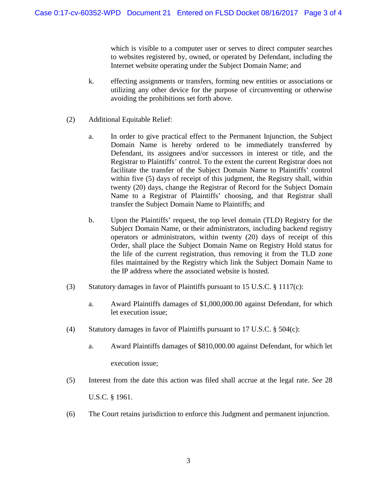which is visible to a computer user or serves to direct computer searches to websites registered by, owned, or operated by Defendant, including the Internet website operating under the Subject Domain Name; and

- k. effecting assignments or transfers, forming new entities or associations or utilizing any other device for the purpose of circumventing or otherwise avoiding the prohibitions set forth above.
- (2) Additional Equitable Relief:
	- a. In order to give practical effect to the Permanent Injunction, the Subject Domain Name is hereby ordered to be immediately transferred by Defendant, its assignees and/or successors in interest or title, and the Registrar to Plaintiffs' control. To the extent the current Registrar does not facilitate the transfer of the Subject Domain Name to Plaintiffs' control within five (5) days of receipt of this judgment, the Registry shall, within twenty (20) days, change the Registrar of Record for the Subject Domain Name to a Registrar of Plaintiffs' choosing, and that Registrar shall transfer the Subject Domain Name to Plaintiffs; and
	- b. Upon the Plaintiffs' request, the top level domain (TLD) Registry for the Subject Domain Name, or their administrators, including backend registry operators or administrators, within twenty (20) days of receipt of this Order, shall place the Subject Domain Name on Registry Hold status for the life of the current registration, thus removing it from the TLD zone files maintained by the Registry which link the Subject Domain Name to the IP address where the associated website is hosted.
- (3) Statutory damages in favor of Plaintiffs pursuant to 15 U.S.C. § 1117(c):
	- a. Award Plaintiffs damages of \$1,000,000.00 against Defendant, for which let execution issue;
- (4) Statutory damages in favor of Plaintiffs pursuant to 17 U.S.C. § 504(c):
	- a. Award Plaintiffs damages of \$810,000.00 against Defendant, for which let execution issue;
- (5) Interest from the date this action was filed shall accrue at the legal rate. *See* 28

U.S.C. § 1961.

(6) The Court retains jurisdiction to enforce this Judgment and permanent injunction.